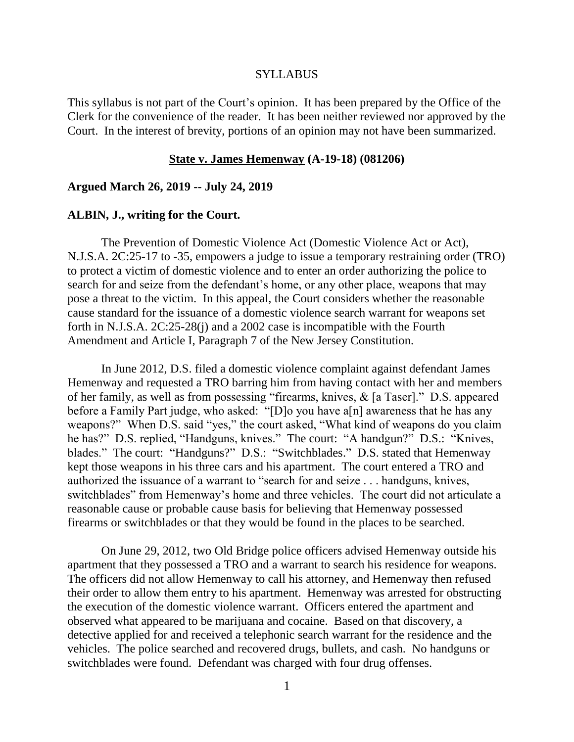#### **SYLLABUS**

This syllabus is not part of the Court's opinion. It has been prepared by the Office of the Clerk for the convenience of the reader. It has been neither reviewed nor approved by the Court. In the interest of brevity, portions of an opinion may not have been summarized.

#### **State v. James Hemenway (A-19-18) (081206)**

### **Argued March 26, 2019 -- July 24, 2019**

#### **ALBIN, J., writing for the Court.**

The Prevention of Domestic Violence Act (Domestic Violence Act or Act), N.J.S.A. 2C:25-17 to -35, empowers a judge to issue a temporary restraining order (TRO) to protect a victim of domestic violence and to enter an order authorizing the police to search for and seize from the defendant's home, or any other place, weapons that may pose a threat to the victim. In this appeal, the Court considers whether the reasonable cause standard for the issuance of a domestic violence search warrant for weapons set forth in N.J.S.A. 2C:25-28(j) and a 2002 case is incompatible with the Fourth Amendment and Article I, Paragraph 7 of the New Jersey Constitution.

In June 2012, D.S. filed a domestic violence complaint against defendant James Hemenway and requested a TRO barring him from having contact with her and members of her family, as well as from possessing "firearms, knives, & [a Taser]." D.S. appeared before a Family Part judge, who asked: "[D]o you have a[n] awareness that he has any weapons?" When D.S. said "yes," the court asked, "What kind of weapons do you claim he has?" D.S. replied, "Handguns, knives." The court: "A handgun?" D.S.: "Knives, blades." The court: "Handguns?" D.S.: "Switchblades." D.S. stated that Hemenway kept those weapons in his three cars and his apartment. The court entered a TRO and authorized the issuance of a warrant to "search for and seize . . . handguns, knives, switchblades" from Hemenway's home and three vehicles. The court did not articulate a reasonable cause or probable cause basis for believing that Hemenway possessed firearms or switchblades or that they would be found in the places to be searched.

On June 29, 2012, two Old Bridge police officers advised Hemenway outside his apartment that they possessed a TRO and a warrant to search his residence for weapons. The officers did not allow Hemenway to call his attorney, and Hemenway then refused their order to allow them entry to his apartment. Hemenway was arrested for obstructing the execution of the domestic violence warrant. Officers entered the apartment and observed what appeared to be marijuana and cocaine. Based on that discovery, a detective applied for and received a telephonic search warrant for the residence and the vehicles. The police searched and recovered drugs, bullets, and cash. No handguns or switchblades were found. Defendant was charged with four drug offenses.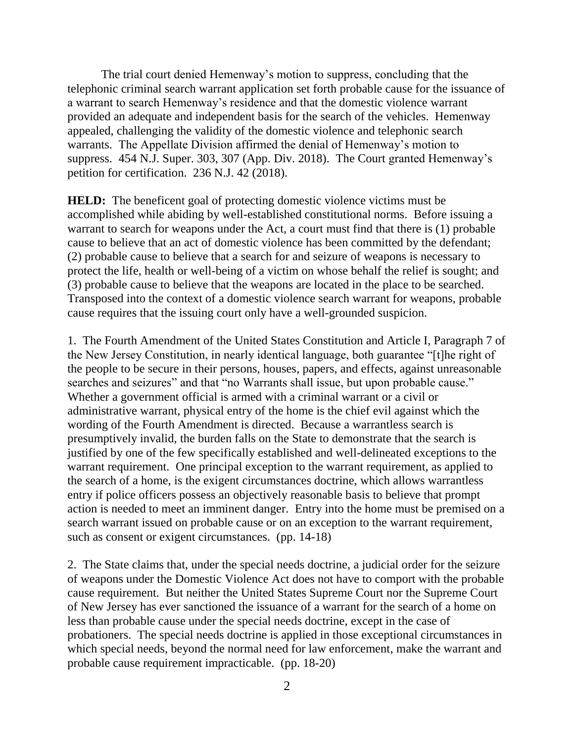The trial court denied Hemenway's motion to suppress, concluding that the telephonic criminal search warrant application set forth probable cause for the issuance of a warrant to search Hemenway's residence and that the domestic violence warrant provided an adequate and independent basis for the search of the vehicles. Hemenway appealed, challenging the validity of the domestic violence and telephonic search warrants. The Appellate Division affirmed the denial of Hemenway's motion to suppress. 454 N.J. Super. 303, 307 (App. Div. 2018). The Court granted Hemenway's petition for certification. 236 N.J. 42 (2018).

**HELD:** The beneficent goal of protecting domestic violence victims must be accomplished while abiding by well-established constitutional norms. Before issuing a warrant to search for weapons under the Act, a court must find that there is (1) probable cause to believe that an act of domestic violence has been committed by the defendant; (2) probable cause to believe that a search for and seizure of weapons is necessary to protect the life, health or well-being of a victim on whose behalf the relief is sought; and (3) probable cause to believe that the weapons are located in the place to be searched. Transposed into the context of a domestic violence search warrant for weapons, probable cause requires that the issuing court only have a well-grounded suspicion.

1. The Fourth Amendment of the United States Constitution and Article I, Paragraph 7 of the New Jersey Constitution, in nearly identical language, both guarantee "[t]he right of the people to be secure in their persons, houses, papers, and effects, against unreasonable searches and seizures" and that "no Warrants shall issue, but upon probable cause." Whether a government official is armed with a criminal warrant or a civil or administrative warrant, physical entry of the home is the chief evil against which the wording of the Fourth Amendment is directed. Because a warrantless search is presumptively invalid, the burden falls on the State to demonstrate that the search is justified by one of the few specifically established and well-delineated exceptions to the warrant requirement. One principal exception to the warrant requirement, as applied to the search of a home, is the exigent circumstances doctrine, which allows warrantless entry if police officers possess an objectively reasonable basis to believe that prompt action is needed to meet an imminent danger. Entry into the home must be premised on a search warrant issued on probable cause or on an exception to the warrant requirement, such as consent or exigent circumstances. (pp. 14-18)

2. The State claims that, under the special needs doctrine, a judicial order for the seizure of weapons under the Domestic Violence Act does not have to comport with the probable cause requirement. But neither the United States Supreme Court nor the Supreme Court of New Jersey has ever sanctioned the issuance of a warrant for the search of a home on less than probable cause under the special needs doctrine, except in the case of probationers. The special needs doctrine is applied in those exceptional circumstances in which special needs, beyond the normal need for law enforcement, make the warrant and probable cause requirement impracticable. (pp. 18-20)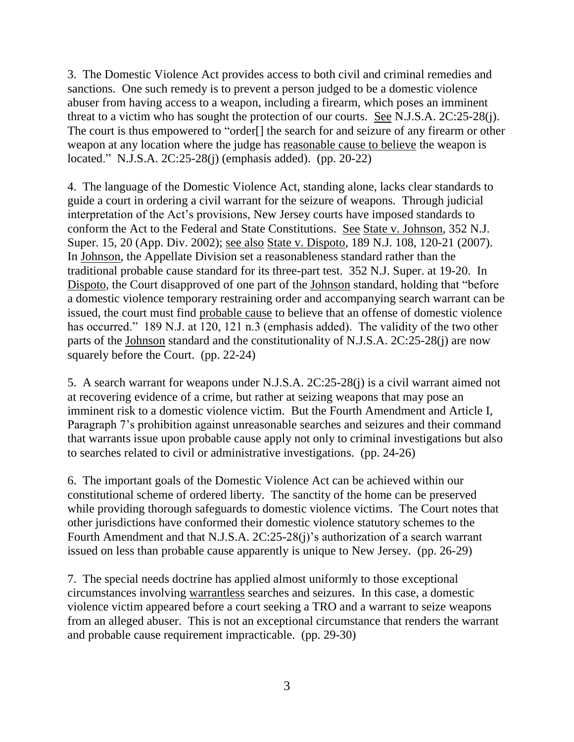3. The Domestic Violence Act provides access to both civil and criminal remedies and sanctions. One such remedy is to prevent a person judged to be a domestic violence abuser from having access to a weapon, including a firearm, which poses an imminent threat to a victim who has sought the protection of our courts. See N.J.S.A. 2C:25-28(j). The court is thus empowered to "order[] the search for and seizure of any firearm or other weapon at any location where the judge has reasonable cause to believe the weapon is located." N.J.S.A. 2C:25-28(j) (emphasis added). (pp. 20-22)

4. The language of the Domestic Violence Act, standing alone, lacks clear standards to guide a court in ordering a civil warrant for the seizure of weapons. Through judicial interpretation of the Act's provisions, New Jersey courts have imposed standards to conform the Act to the Federal and State Constitutions. See State v. Johnson, 352 N.J. Super. 15, 20 (App. Div. 2002); see also State v. Dispoto, 189 N.J. 108, 120-21 (2007). In Johnson, the Appellate Division set a reasonableness standard rather than the traditional probable cause standard for its three-part test. 352 N.J. Super. at 19-20. In Dispoto, the Court disapproved of one part of the Johnson standard, holding that "before a domestic violence temporary restraining order and accompanying search warrant can be issued, the court must find probable cause to believe that an offense of domestic violence has occurred." 189 N.J. at 120, 121 n.3 (emphasis added). The validity of the two other parts of the Johnson standard and the constitutionality of N.J.S.A. 2C:25-28(j) are now squarely before the Court. (pp. 22-24)

5. A search warrant for weapons under N.J.S.A. 2C:25-28(j) is a civil warrant aimed not at recovering evidence of a crime, but rather at seizing weapons that may pose an imminent risk to a domestic violence victim. But the Fourth Amendment and Article I, Paragraph 7's prohibition against unreasonable searches and seizures and their command that warrants issue upon probable cause apply not only to criminal investigations but also to searches related to civil or administrative investigations. (pp. 24-26)

6. The important goals of the Domestic Violence Act can be achieved within our constitutional scheme of ordered liberty. The sanctity of the home can be preserved while providing thorough safeguards to domestic violence victims. The Court notes that other jurisdictions have conformed their domestic violence statutory schemes to the Fourth Amendment and that N.J.S.A. 2C:25-28(j)'s authorization of a search warrant issued on less than probable cause apparently is unique to New Jersey. (pp. 26-29)

7. The special needs doctrine has applied almost uniformly to those exceptional circumstances involving warrantless searches and seizures. In this case, a domestic violence victim appeared before a court seeking a TRO and a warrant to seize weapons from an alleged abuser. This is not an exceptional circumstance that renders the warrant and probable cause requirement impracticable. (pp. 29-30)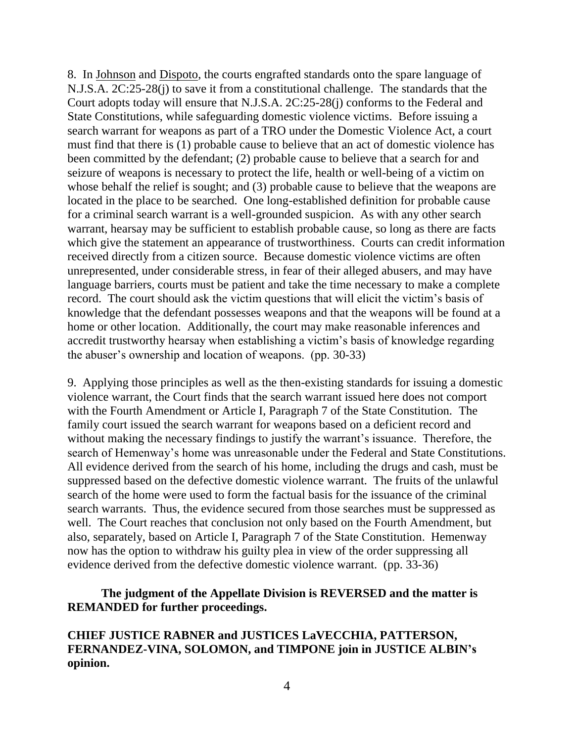8. In Johnson and Dispoto, the courts engrafted standards onto the spare language of N.J.S.A. 2C:25-28(j) to save it from a constitutional challenge. The standards that the Court adopts today will ensure that N.J.S.A. 2C:25-28(j) conforms to the Federal and State Constitutions, while safeguarding domestic violence victims. Before issuing a search warrant for weapons as part of a TRO under the Domestic Violence Act, a court must find that there is (1) probable cause to believe that an act of domestic violence has been committed by the defendant; (2) probable cause to believe that a search for and seizure of weapons is necessary to protect the life, health or well-being of a victim on whose behalf the relief is sought; and (3) probable cause to believe that the weapons are located in the place to be searched. One long-established definition for probable cause for a criminal search warrant is a well-grounded suspicion. As with any other search warrant, hearsay may be sufficient to establish probable cause, so long as there are facts which give the statement an appearance of trustworthiness. Courts can credit information received directly from a citizen source. Because domestic violence victims are often unrepresented, under considerable stress, in fear of their alleged abusers, and may have language barriers, courts must be patient and take the time necessary to make a complete record. The court should ask the victim questions that will elicit the victim's basis of knowledge that the defendant possesses weapons and that the weapons will be found at a home or other location. Additionally, the court may make reasonable inferences and accredit trustworthy hearsay when establishing a victim's basis of knowledge regarding the abuser's ownership and location of weapons. (pp. 30-33)

9. Applying those principles as well as the then-existing standards for issuing a domestic violence warrant, the Court finds that the search warrant issued here does not comport with the Fourth Amendment or Article I, Paragraph 7 of the State Constitution. The family court issued the search warrant for weapons based on a deficient record and without making the necessary findings to justify the warrant's issuance. Therefore, the search of Hemenway's home was unreasonable under the Federal and State Constitutions. All evidence derived from the search of his home, including the drugs and cash, must be suppressed based on the defective domestic violence warrant. The fruits of the unlawful search of the home were used to form the factual basis for the issuance of the criminal search warrants. Thus, the evidence secured from those searches must be suppressed as well. The Court reaches that conclusion not only based on the Fourth Amendment, but also, separately, based on Article I, Paragraph 7 of the State Constitution. Hemenway now has the option to withdraw his guilty plea in view of the order suppressing all evidence derived from the defective domestic violence warrant. (pp. 33-36)

# **The judgment of the Appellate Division is REVERSED and the matter is REMANDED for further proceedings.**

**CHIEF JUSTICE RABNER and JUSTICES LaVECCHIA, PATTERSON, FERNANDEZ-VINA, SOLOMON, and TIMPONE join in JUSTICE ALBIN's opinion.**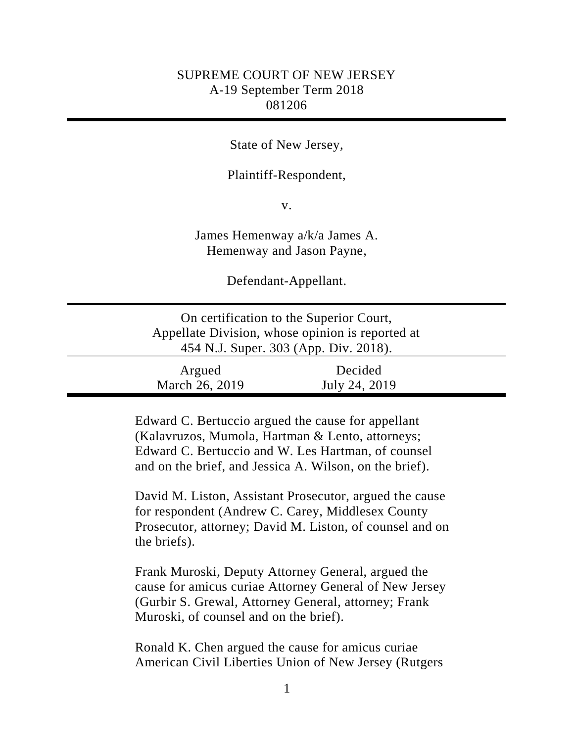# SUPREME COURT OF NEW JERSEY A-19 September Term 2018 081206

# State of New Jersey,

## Plaintiff-Respondent,

v.

James Hemenway a/k/a James A. Hemenway and Jason Payne,

Defendant-Appellant.

| On certification to the Superior Court,          |
|--------------------------------------------------|
| Appellate Division, whose opinion is reported at |
| 454 N.J. Super. 303 (App. Div. 2018).            |
|                                                  |

| Argued         | Decided       |  |
|----------------|---------------|--|
| March 26, 2019 | July 24, 2019 |  |

Edward C. Bertuccio argued the cause for appellant (Kalavruzos, Mumola, Hartman & Lento, attorneys; Edward C. Bertuccio and W. Les Hartman, of counsel and on the brief, and Jessica A. Wilson, on the brief).

David M. Liston, Assistant Prosecutor, argued the cause for respondent (Andrew C. Carey, Middlesex County Prosecutor, attorney; David M. Liston, of counsel and on the briefs).

Frank Muroski, Deputy Attorney General, argued the cause for amicus curiae Attorney General of New Jersey (Gurbir S. Grewal, Attorney General, attorney; Frank Muroski, of counsel and on the brief).

Ronald K. Chen argued the cause for amicus curiae American Civil Liberties Union of New Jersey (Rutgers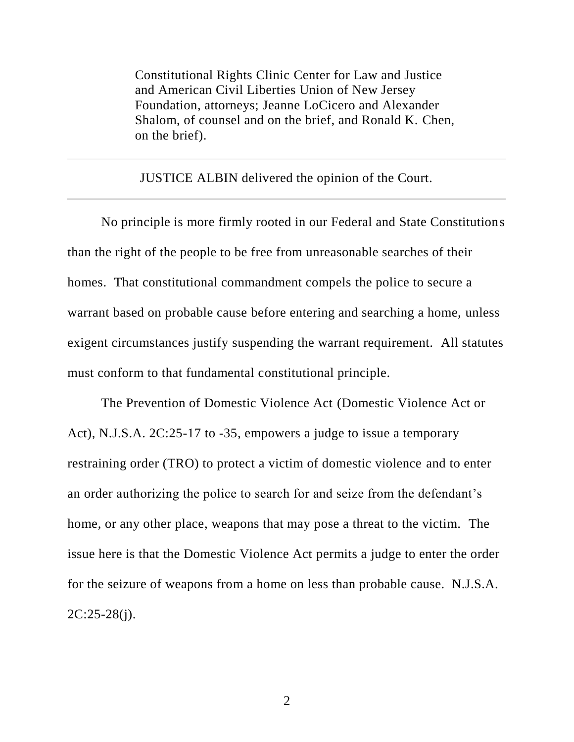Constitutional Rights Clinic Center for Law and Justice and American Civil Liberties Union of New Jersey Foundation, attorneys; Jeanne LoCicero and Alexander Shalom, of counsel and on the brief, and Ronald K. Chen, on the brief).

JUSTICE ALBIN delivered the opinion of the Court.

No principle is more firmly rooted in our Federal and State Constitutions than the right of the people to be free from unreasonable searches of their homes. That constitutional commandment compels the police to secure a warrant based on probable cause before entering and searching a home, unless exigent circumstances justify suspending the warrant requirement. All statutes must conform to that fundamental constitutional principle.

The Prevention of Domestic Violence Act (Domestic Violence Act or Act), N.J.S.A. 2C:25-17 to -35, empowers a judge to issue a temporary restraining order (TRO) to protect a victim of domestic violence and to enter an order authorizing the police to search for and seize from the defendant's home, or any other place, weapons that may pose a threat to the victim. The issue here is that the Domestic Violence Act permits a judge to enter the order for the seizure of weapons from a home on less than probable cause. N.J.S.A.  $2C:25-28(i)$ .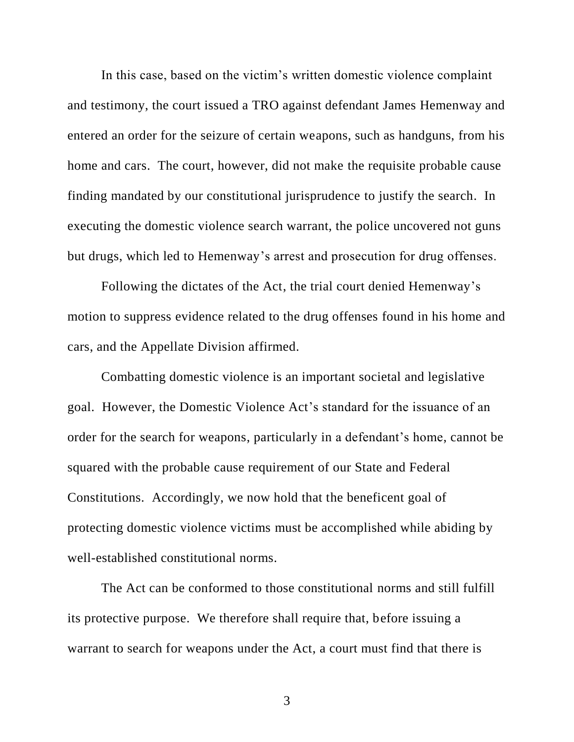In this case, based on the victim's written domestic violence complaint and testimony, the court issued a TRO against defendant James Hemenway and entered an order for the seizure of certain weapons, such as handguns, from his home and cars. The court, however, did not make the requisite probable cause finding mandated by our constitutional jurisprudence to justify the search. In executing the domestic violence search warrant, the police uncovered not guns but drugs, which led to Hemenway's arrest and prosecution for drug offenses.

Following the dictates of the Act, the trial court denied Hemenway's motion to suppress evidence related to the drug offenses found in his home and cars, and the Appellate Division affirmed.

Combatting domestic violence is an important societal and legislative goal. However, the Domestic Violence Act's standard for the issuance of an order for the search for weapons, particularly in a defendant's home, cannot be squared with the probable cause requirement of our State and Federal Constitutions. Accordingly, we now hold that the beneficent goal of protecting domestic violence victims must be accomplished while abiding by well-established constitutional norms.

The Act can be conformed to those constitutional norms and still fulfill its protective purpose. We therefore shall require that, before issuing a warrant to search for weapons under the Act, a court must find that there is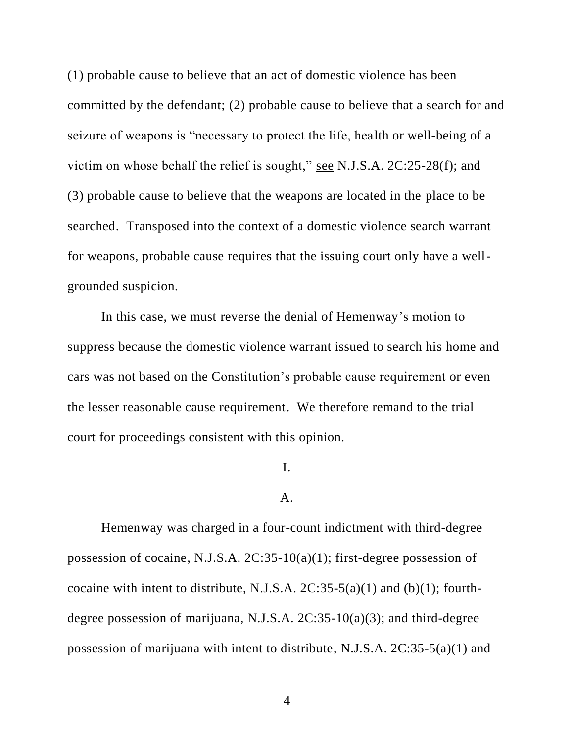(1) probable cause to believe that an act of domestic violence has been committed by the defendant; (2) probable cause to believe that a search for and seizure of weapons is "necessary to protect the life, health or well-being of a victim on whose behalf the relief is sought," see N.J.S.A. 2C:25-28(f); and (3) probable cause to believe that the weapons are located in the place to be searched. Transposed into the context of a domestic violence search warrant for weapons, probable cause requires that the issuing court only have a wellgrounded suspicion.

In this case, we must reverse the denial of Hemenway's motion to suppress because the domestic violence warrant issued to search his home and cars was not based on the Constitution's probable cause requirement or even the lesser reasonable cause requirement. We therefore remand to the trial court for proceedings consistent with this opinion.

## I.

## A.

Hemenway was charged in a four-count indictment with third-degree possession of cocaine, N.J.S.A. 2C:35-10(a)(1); first-degree possession of cocaine with intent to distribute, N.J.S.A.  $2C:35-5(a)(1)$  and (b)(1); fourthdegree possession of marijuana, N.J.S.A. 2C:35-10(a)(3); and third-degree possession of marijuana with intent to distribute, N.J.S.A. 2C:35-5(a)(1) and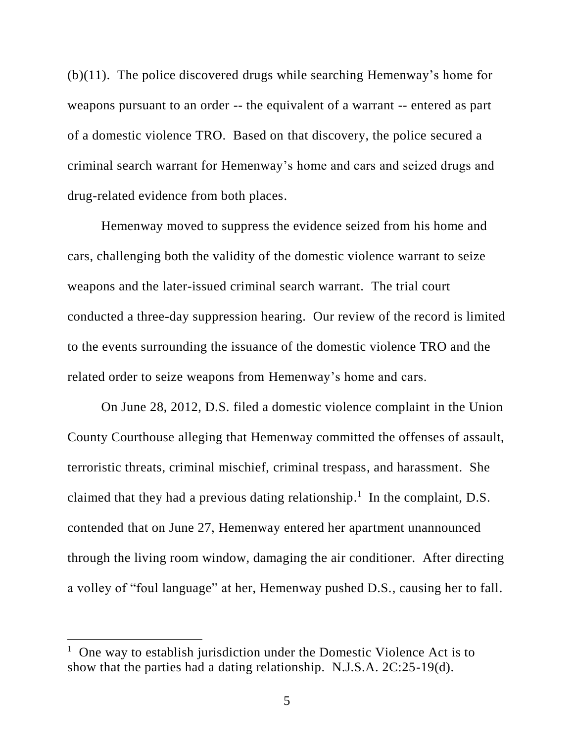(b)(11). The police discovered drugs while searching Hemenway's home for weapons pursuant to an order -- the equivalent of a warrant -- entered as part of a domestic violence TRO. Based on that discovery, the police secured a criminal search warrant for Hemenway's home and cars and seized drugs and drug-related evidence from both places.

Hemenway moved to suppress the evidence seized from his home and cars, challenging both the validity of the domestic violence warrant to seize weapons and the later-issued criminal search warrant. The trial court conducted a three-day suppression hearing. Our review of the record is limited to the events surrounding the issuance of the domestic violence TRO and the related order to seize weapons from Hemenway's home and cars.

On June 28, 2012, D.S. filed a domestic violence complaint in the Union County Courthouse alleging that Hemenway committed the offenses of assault, terroristic threats, criminal mischief, criminal trespass, and harassment. She claimed that they had a previous dating relationship.<sup>1</sup> In the complaint, D.S. contended that on June 27, Hemenway entered her apartment unannounced through the living room window, damaging the air conditioner. After directing a volley of "foul language" at her, Hemenway pushed D.S., causing her to fall.

 $\overline{\phantom{a}}$ 

<sup>&</sup>lt;sup>1</sup> One way to establish jurisdiction under the Domestic Violence Act is to show that the parties had a dating relationship. N.J.S.A. 2C:25-19(d).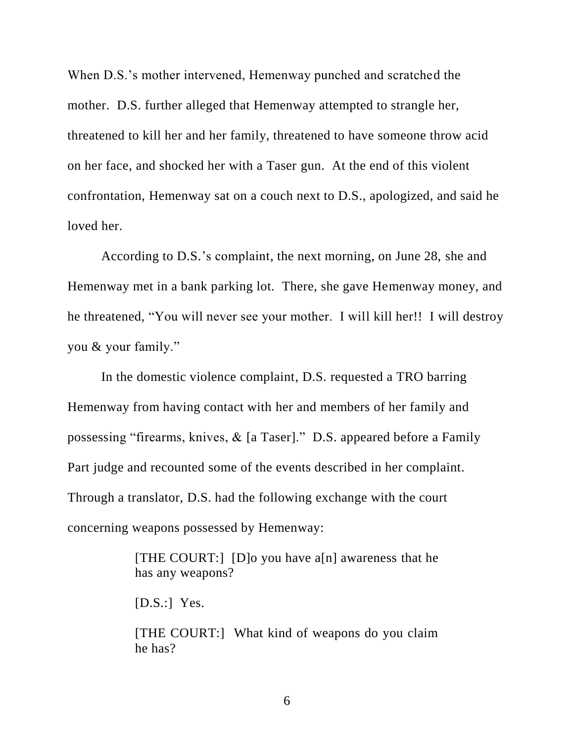When D.S.'s mother intervened, Hemenway punched and scratched the mother. D.S. further alleged that Hemenway attempted to strangle her, threatened to kill her and her family, threatened to have someone throw acid on her face, and shocked her with a Taser gun. At the end of this violent confrontation, Hemenway sat on a couch next to D.S., apologized, and said he loved her.

According to D.S.'s complaint, the next morning, on June 28, she and Hemenway met in a bank parking lot. There, she gave Hemenway money, and he threatened, "You will never see your mother. I will kill her!! I will destroy you & your family."

In the domestic violence complaint, D.S. requested a TRO barring Hemenway from having contact with her and members of her family and possessing "firearms, knives, & [a Taser]." D.S. appeared before a Family Part judge and recounted some of the events described in her complaint. Through a translator, D.S. had the following exchange with the court concerning weapons possessed by Hemenway:

> [THE COURT:] [D]o you have a[n] awareness that he has any weapons?

 $[D.S.:]$  Yes.

[THE COURT:] What kind of weapons do you claim he has?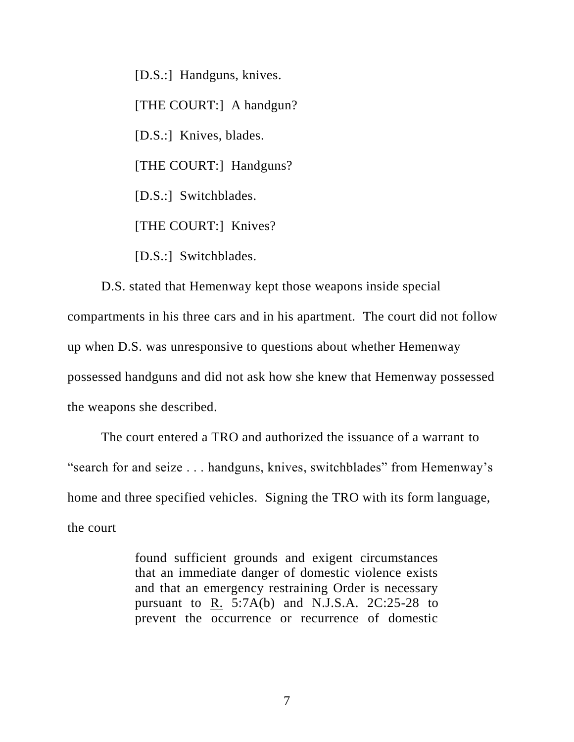[D.S.:] Handguns, knives. [THE COURT:] A handgun? [D.S.:] Knives, blades. [THE COURT:] Handguns? [D.S.:] Switchblades. [THE COURT:] Knives?

[D.S.:] Switchblades.

D.S. stated that Hemenway kept those weapons inside special compartments in his three cars and in his apartment. The court did not follow up when D.S. was unresponsive to questions about whether Hemenway possessed handguns and did not ask how she knew that Hemenway possessed the weapons she described.

The court entered a TRO and authorized the issuance of a warrant to "search for and seize . . . handguns, knives, switchblades" from Hemenway's home and three specified vehicles. Signing the TRO with its form language, the court

> found sufficient grounds and exigent circumstances that an immediate danger of domestic violence exists and that an emergency restraining Order is necessary pursuant to R. 5:7A(b) and N.J.S.A. 2C:25-28 to prevent the occurrence or recurrence of domestic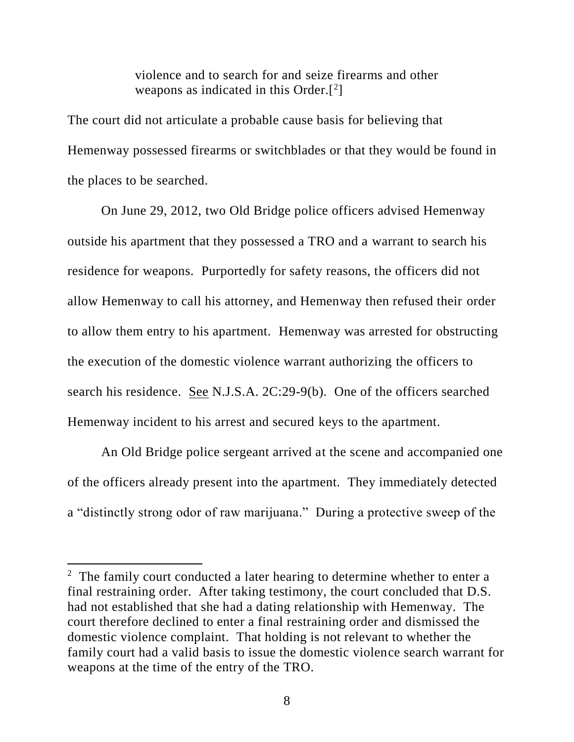violence and to search for and seize firearms and other weapons as indicated in this Order. $[2]$ 

The court did not articulate a probable cause basis for believing that Hemenway possessed firearms or switchblades or that they would be found in the places to be searched.

On June 29, 2012, two Old Bridge police officers advised Hemenway outside his apartment that they possessed a TRO and a warrant to search his residence for weapons. Purportedly for safety reasons, the officers did not allow Hemenway to call his attorney, and Hemenway then refused their order to allow them entry to his apartment. Hemenway was arrested for obstructing the execution of the domestic violence warrant authorizing the officers to search his residence. See N.J.S.A. 2C:29-9(b). One of the officers searched Hemenway incident to his arrest and secured keys to the apartment.

An Old Bridge police sergeant arrived at the scene and accompanied one of the officers already present into the apartment. They immediately detected a "distinctly strong odor of raw marijuana." During a protective sweep of the

 $\overline{a}$ 

 $2$  The family court conducted a later hearing to determine whether to enter a final restraining order. After taking testimony, the court concluded that D.S. had not established that she had a dating relationship with Hemenway. The court therefore declined to enter a final restraining order and dismissed the domestic violence complaint. That holding is not relevant to whether the family court had a valid basis to issue the domestic violence search warrant for weapons at the time of the entry of the TRO.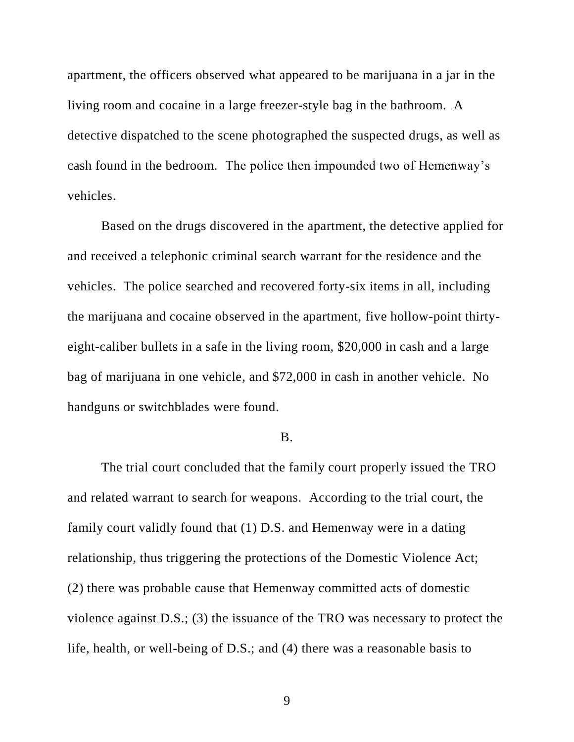apartment, the officers observed what appeared to be marijuana in a jar in the living room and cocaine in a large freezer-style bag in the bathroom. A detective dispatched to the scene photographed the suspected drugs, as well as cash found in the bedroom. The police then impounded two of Hemenway's vehicles.

Based on the drugs discovered in the apartment, the detective applied for and received a telephonic criminal search warrant for the residence and the vehicles. The police searched and recovered forty-six items in all, including the marijuana and cocaine observed in the apartment, five hollow-point thirtyeight-caliber bullets in a safe in the living room, \$20,000 in cash and a large bag of marijuana in one vehicle, and \$72,000 in cash in another vehicle. No handguns or switchblades were found.

### B.

The trial court concluded that the family court properly issued the TRO and related warrant to search for weapons. According to the trial court, the family court validly found that (1) D.S. and Hemenway were in a dating relationship, thus triggering the protections of the Domestic Violence Act; (2) there was probable cause that Hemenway committed acts of domestic violence against D.S.; (3) the issuance of the TRO was necessary to protect the life, health, or well-being of D.S.; and (4) there was a reasonable basis to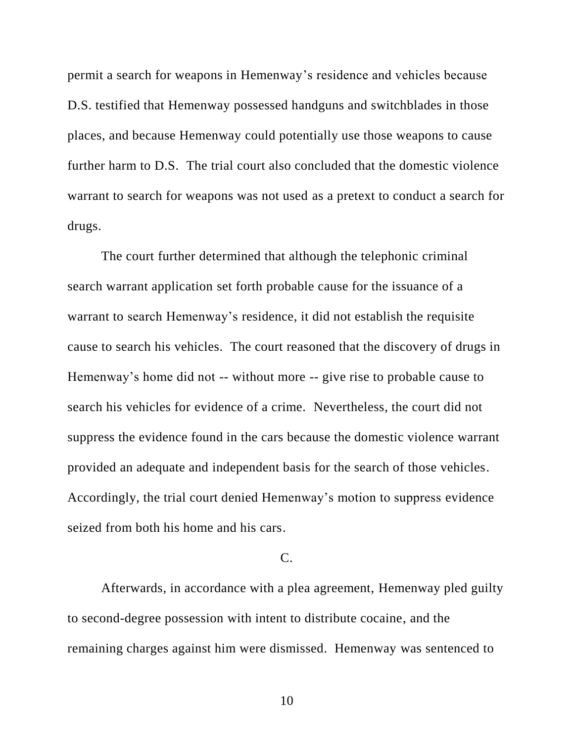permit a search for weapons in Hemenway's residence and vehicles because D.S. testified that Hemenway possessed handguns and switchblades in those places, and because Hemenway could potentially use those weapons to cause further harm to D.S. The trial court also concluded that the domestic violence warrant to search for weapons was not used as a pretext to conduct a search for drugs.

The court further determined that although the telephonic criminal search warrant application set forth probable cause for the issuance of a warrant to search Hemenway's residence, it did not establish the requisite cause to search his vehicles. The court reasoned that the discovery of drugs in Hemenway's home did not -- without more -- give rise to probable cause to search his vehicles for evidence of a crime. Nevertheless, the court did not suppress the evidence found in the cars because the domestic violence warrant provided an adequate and independent basis for the search of those vehicles. Accordingly, the trial court denied Hemenway's motion to suppress evidence seized from both his home and his cars.

# $C<sub>c</sub>$

Afterwards, in accordance with a plea agreement, Hemenway pled guilty to second-degree possession with intent to distribute cocaine, and the remaining charges against him were dismissed. Hemenway was sentenced to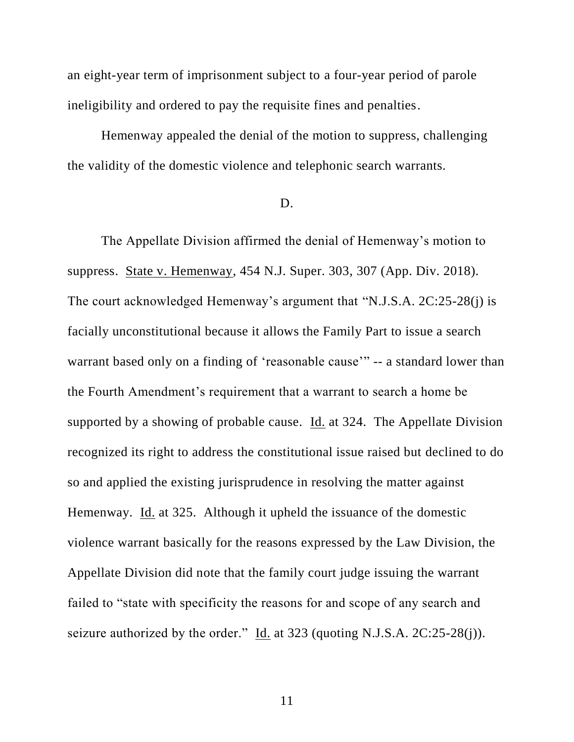an eight-year term of imprisonment subject to a four-year period of parole ineligibility and ordered to pay the requisite fines and penalties.

Hemenway appealed the denial of the motion to suppress, challenging the validity of the domestic violence and telephonic search warrants.

# D.

The Appellate Division affirmed the denial of Hemenway's motion to suppress. State v. Hemenway, 454 N.J. Super. 303, 307 (App. Div. 2018). The court acknowledged Hemenway's argument that "N.J.S.A. 2C:25-28(j) is facially unconstitutional because it allows the Family Part to issue a search warrant based only on a finding of 'reasonable cause'" -- a standard lower than the Fourth Amendment's requirement that a warrant to search a home be supported by a showing of probable cause. Id. at 324. The Appellate Division recognized its right to address the constitutional issue raised but declined to do so and applied the existing jurisprudence in resolving the matter against Hemenway. Id. at 325. Although it upheld the issuance of the domestic violence warrant basically for the reasons expressed by the Law Division, the Appellate Division did note that the family court judge issuing the warrant failed to "state with specificity the reasons for and scope of any search and seizure authorized by the order." Id. at 323 (quoting N.J.S.A. 2C:25-28(j)).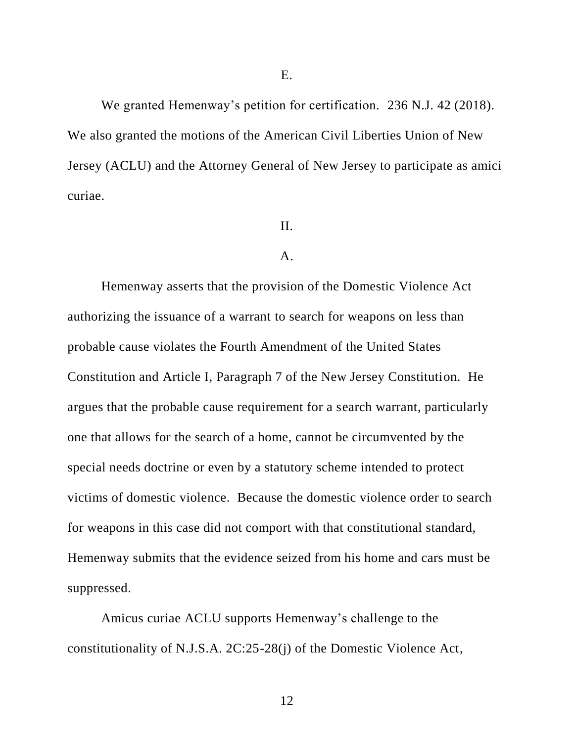We granted Hemenway's petition for certification. 236 N.J. 42 (2018). We also granted the motions of the American Civil Liberties Union of New Jersey (ACLU) and the Attorney General of New Jersey to participate as amici curiae.

### II.

### A.

Hemenway asserts that the provision of the Domestic Violence Act authorizing the issuance of a warrant to search for weapons on less than probable cause violates the Fourth Amendment of the United States Constitution and Article I, Paragraph 7 of the New Jersey Constitution. He argues that the probable cause requirement for a search warrant, particularly one that allows for the search of a home, cannot be circumvented by the special needs doctrine or even by a statutory scheme intended to protect victims of domestic violence. Because the domestic violence order to search for weapons in this case did not comport with that constitutional standard, Hemenway submits that the evidence seized from his home and cars must be suppressed.

Amicus curiae ACLU supports Hemenway's challenge to the constitutionality of N.J.S.A. 2C:25-28(j) of the Domestic Violence Act,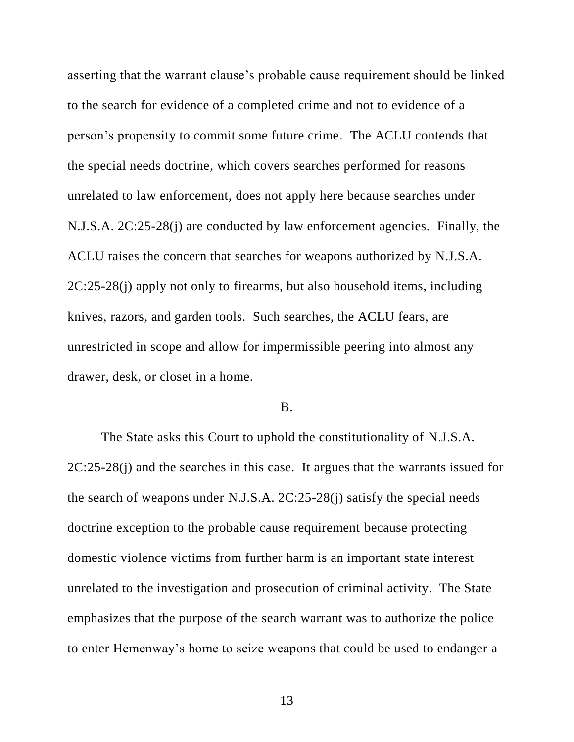asserting that the warrant clause's probable cause requirement should be linked to the search for evidence of a completed crime and not to evidence of a person's propensity to commit some future crime. The ACLU contends that the special needs doctrine, which covers searches performed for reasons unrelated to law enforcement, does not apply here because searches under N.J.S.A. 2C:25-28(j) are conducted by law enforcement agencies. Finally, the ACLU raises the concern that searches for weapons authorized by N.J.S.A. 2C:25-28(j) apply not only to firearms, but also household items, including knives, razors, and garden tools. Such searches, the ACLU fears, are unrestricted in scope and allow for impermissible peering into almost any drawer, desk, or closet in a home.

#### B.

The State asks this Court to uphold the constitutionality of N.J.S.A. 2C:25-28(j) and the searches in this case. It argues that the warrants issued for the search of weapons under N.J.S.A. 2C:25-28(j) satisfy the special needs doctrine exception to the probable cause requirement because protecting domestic violence victims from further harm is an important state interest unrelated to the investigation and prosecution of criminal activity. The State emphasizes that the purpose of the search warrant was to authorize the police to enter Hemenway's home to seize weapons that could be used to endanger a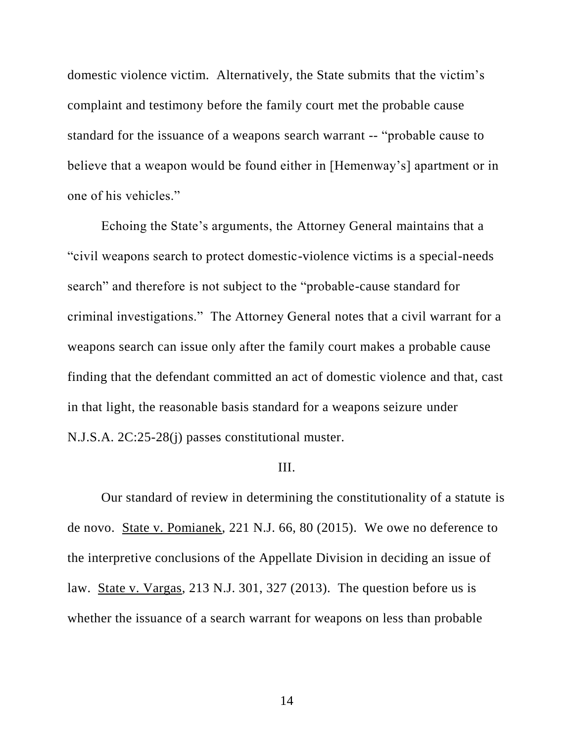domestic violence victim. Alternatively, the State submits that the victim's complaint and testimony before the family court met the probable cause standard for the issuance of a weapons search warrant -- "probable cause to believe that a weapon would be found either in [Hemenway's] apartment or in one of his vehicles."

Echoing the State's arguments, the Attorney General maintains that a "civil weapons search to protect domestic-violence victims is a special-needs search" and therefore is not subject to the "probable-cause standard for criminal investigations." The Attorney General notes that a civil warrant for a weapons search can issue only after the family court makes a probable cause finding that the defendant committed an act of domestic violence and that, cast in that light, the reasonable basis standard for a weapons seizure under N.J.S.A. 2C:25-28(j) passes constitutional muster.

#### III.

Our standard of review in determining the constitutionality of a statute is de novo. State v. Pomianek, 221 N.J. 66, 80 (2015). We owe no deference to the interpretive conclusions of the Appellate Division in deciding an issue of law. State v. Vargas, 213 N.J. 301, 327 (2013). The question before us is whether the issuance of a search warrant for weapons on less than probable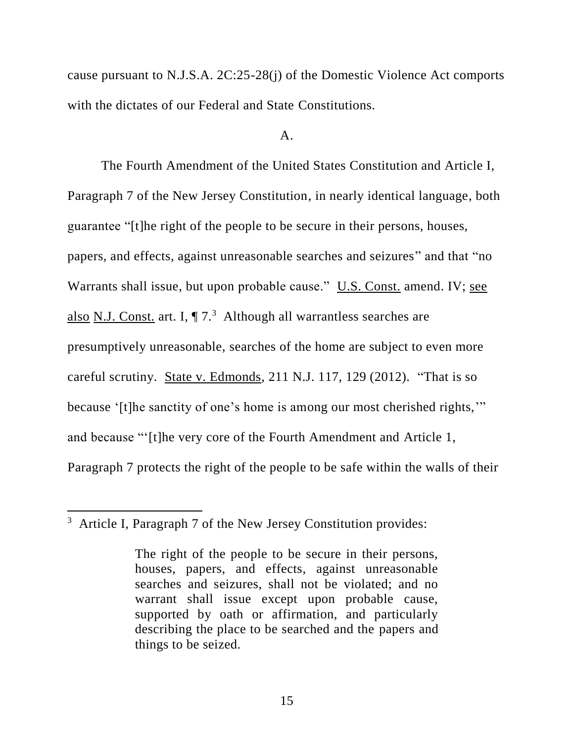cause pursuant to N.J.S.A. 2C:25-28(j) of the Domestic Violence Act comports with the dictates of our Federal and State Constitutions.

#### A.

The Fourth Amendment of the United States Constitution and Article I, Paragraph 7 of the New Jersey Constitution, in nearly identical language, both guarantee "[t]he right of the people to be secure in their persons, houses, papers, and effects, against unreasonable searches and seizures" and that "no Warrants shall issue, but upon probable cause." U.S. Const. amend. IV; see also N.J. Const. art. I,  $\P$  7.<sup>3</sup> Although all warrantless searches are presumptively unreasonable, searches of the home are subject to even more careful scrutiny. State v. Edmonds, 211 N.J. 117, 129 (2012). "That is so because '[t]he sanctity of one's home is among our most cherished rights,'" and because "'[t]he very core of the Fourth Amendment and Article 1, Paragraph 7 protects the right of the people to be safe within the walls of their

 $\overline{a}$ 

 $3$  Article I, Paragraph 7 of the New Jersey Constitution provides:

The right of the people to be secure in their persons, houses, papers, and effects, against unreasonable searches and seizures, shall not be violated; and no warrant shall issue except upon probable cause, supported by oath or affirmation, and particularly describing the place to be searched and the papers and things to be seized.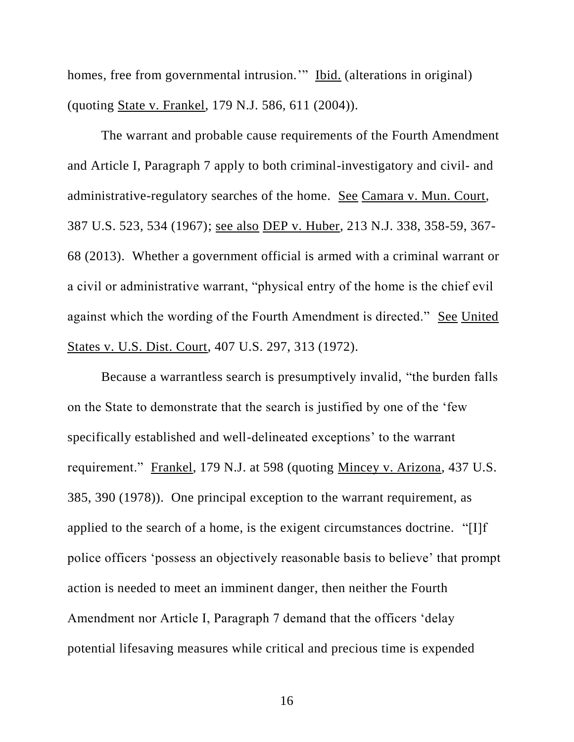homes, free from governmental intrusion." Ibid. (alterations in original) (quoting State v. Frankel, 179 N.J. 586, 611 (2004)).

The warrant and probable cause requirements of the Fourth Amendment and Article I, Paragraph 7 apply to both criminal-investigatory and civil- and administrative-regulatory searches of the home. See Camara v. Mun. Court, 387 U.S. 523, 534 (1967); see also DEP v. Huber, 213 N.J. 338, 358-59, 367- 68 (2013). Whether a government official is armed with a criminal warrant or a civil or administrative warrant, "physical entry of the home is the chief evil against which the wording of the Fourth Amendment is directed." See United States v. U.S. Dist. Court, 407 U.S. 297, 313 (1972).

Because a warrantless search is presumptively invalid, "the burden falls on the State to demonstrate that the search is justified by one of the 'few specifically established and well-delineated exceptions' to the warrant requirement." Frankel, 179 N.J. at 598 (quoting Mincey v. Arizona, 437 U.S. 385, 390 (1978)). One principal exception to the warrant requirement, as applied to the search of a home, is the exigent circumstances doctrine. "[I]f police officers 'possess an objectively reasonable basis to believe' that prompt action is needed to meet an imminent danger, then neither the Fourth Amendment nor Article I, Paragraph 7 demand that the officers 'delay potential lifesaving measures while critical and precious time is expended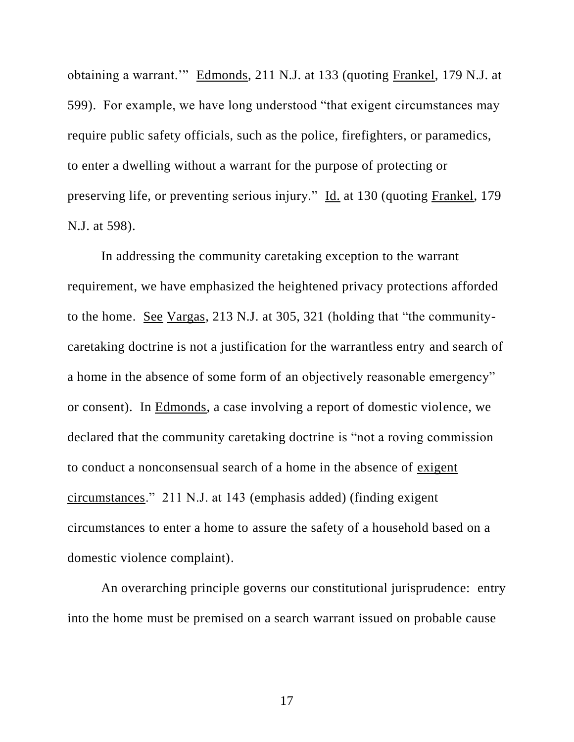obtaining a warrant.'" Edmonds, 211 N.J. at 133 (quoting Frankel, 179 N.J. at 599). For example, we have long understood "that exigent circumstances may require public safety officials, such as the police, firefighters, or paramedics, to enter a dwelling without a warrant for the purpose of protecting or preserving life, or preventing serious injury." Id. at 130 (quoting Frankel, 179 N.J. at 598).

In addressing the community caretaking exception to the warrant requirement, we have emphasized the heightened privacy protections afforded to the home. See Vargas, 213 N.J. at 305, 321 (holding that "the communitycaretaking doctrine is not a justification for the warrantless entry and search of a home in the absence of some form of an objectively reasonable emergency" or consent). In Edmonds, a case involving a report of domestic violence, we declared that the community caretaking doctrine is "not a roving commission to conduct a nonconsensual search of a home in the absence of exigent circumstances." 211 N.J. at 143 (emphasis added) (finding exigent circumstances to enter a home to assure the safety of a household based on a domestic violence complaint).

An overarching principle governs our constitutional jurisprudence: entry into the home must be premised on a search warrant issued on probable cause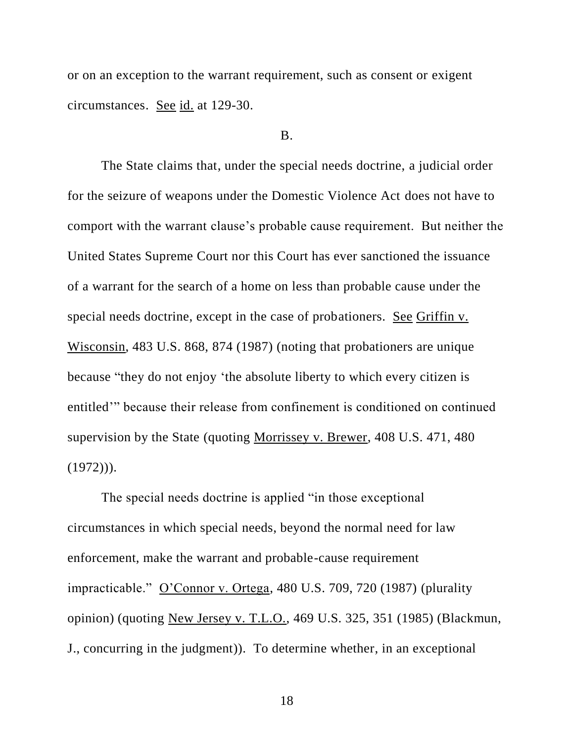or on an exception to the warrant requirement, such as consent or exigent circumstances. See id. at 129-30.

#### B.

The State claims that, under the special needs doctrine, a judicial order for the seizure of weapons under the Domestic Violence Act does not have to comport with the warrant clause's probable cause requirement. But neither the United States Supreme Court nor this Court has ever sanctioned the issuance of a warrant for the search of a home on less than probable cause under the special needs doctrine, except in the case of probationers. See Griffin v. Wisconsin, 483 U.S. 868, 874 (1987) (noting that probationers are unique because "they do not enjoy 'the absolute liberty to which every citizen is entitled'" because their release from confinement is conditioned on continued supervision by the State (quoting Morrissey v. Brewer, 408 U.S. 471, 480  $(1972))$ .

The special needs doctrine is applied "in those exceptional circumstances in which special needs, beyond the normal need for law enforcement, make the warrant and probable-cause requirement impracticable." O'Connor v. Ortega, 480 U.S. 709, 720 (1987) (plurality opinion) (quoting New Jersey v. T.L.O., 469 U.S. 325, 351 (1985) (Blackmun, J., concurring in the judgment)). To determine whether, in an exceptional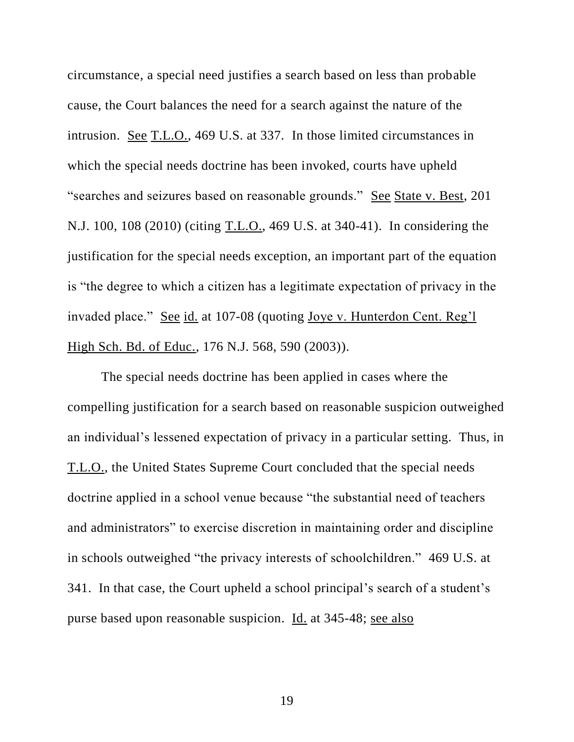circumstance, a special need justifies a search based on less than probable cause, the Court balances the need for a search against the nature of the intrusion. See T.L.O., 469 U.S. at 337. In those limited circumstances in which the special needs doctrine has been invoked, courts have upheld "searches and seizures based on reasonable grounds." See State v. Best, 201 N.J. 100, 108 (2010) (citing T.L.O., 469 U.S. at 340-41). In considering the justification for the special needs exception, an important part of the equation is "the degree to which a citizen has a legitimate expectation of privacy in the invaded place." See id. at 107-08 (quoting Joye v. Hunterdon Cent. Reg'l High Sch. Bd. of Educ., 176 N.J. 568, 590 (2003)).

The special needs doctrine has been applied in cases where the compelling justification for a search based on reasonable suspicion outweighed an individual's lessened expectation of privacy in a particular setting. Thus, in T.L.O., the United States Supreme Court concluded that the special needs doctrine applied in a school venue because "the substantial need of teachers and administrators" to exercise discretion in maintaining order and discipline in schools outweighed "the privacy interests of schoolchildren." 469 U.S. at 341. In that case, the Court upheld a school principal's search of a student's purse based upon reasonable suspicion. Id. at 345-48; see also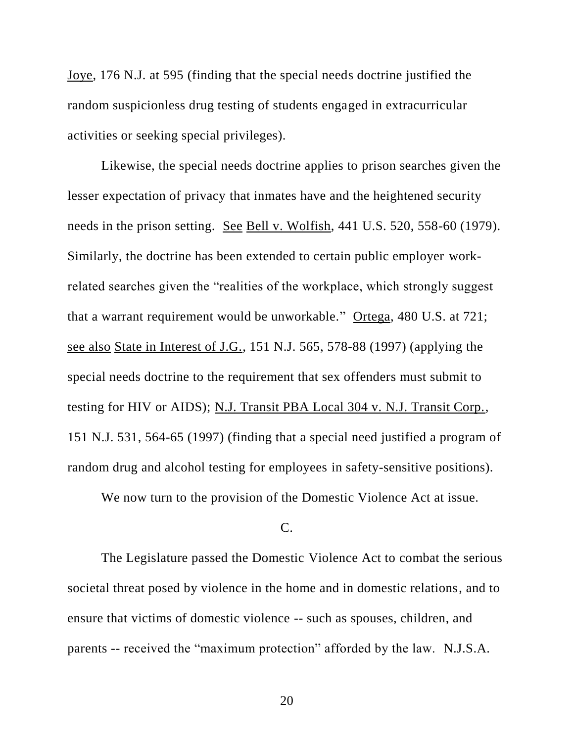Joye, 176 N.J. at 595 (finding that the special needs doctrine justified the random suspicionless drug testing of students engaged in extracurricular activities or seeking special privileges).

Likewise, the special needs doctrine applies to prison searches given the lesser expectation of privacy that inmates have and the heightened security needs in the prison setting. See Bell v. Wolfish, 441 U.S. 520, 558-60 (1979). Similarly, the doctrine has been extended to certain public employer workrelated searches given the "realities of the workplace, which strongly suggest that a warrant requirement would be unworkable." Ortega, 480 U.S. at 721; see also State in Interest of J.G., 151 N.J. 565, 578-88 (1997) (applying the special needs doctrine to the requirement that sex offenders must submit to testing for HIV or AIDS); N.J. Transit PBA Local 304 v. N.J. Transit Corp., 151 N.J. 531, 564-65 (1997) (finding that a special need justified a program of random drug and alcohol testing for employees in safety-sensitive positions).

We now turn to the provision of the Domestic Violence Act at issue.

# C.

The Legislature passed the Domestic Violence Act to combat the serious societal threat posed by violence in the home and in domestic relations, and to ensure that victims of domestic violence -- such as spouses, children, and parents -- received the "maximum protection" afforded by the law. N.J.S.A.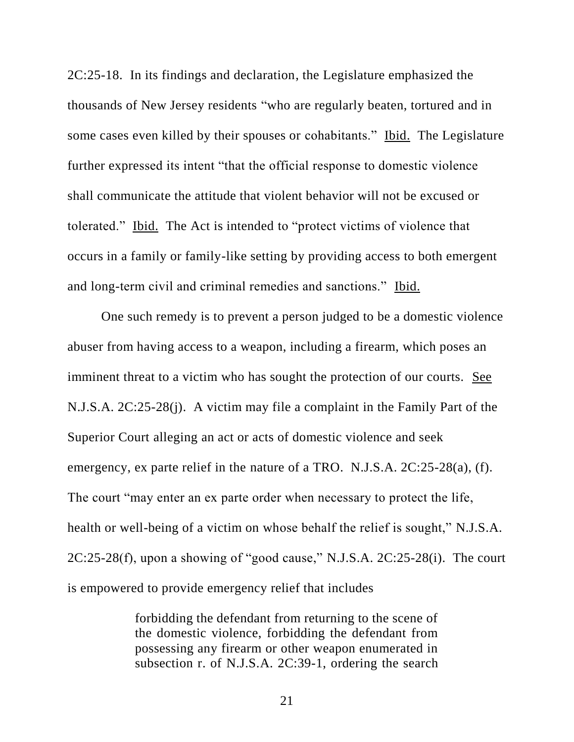2C:25-18. In its findings and declaration, the Legislature emphasized the thousands of New Jersey residents "who are regularly beaten, tortured and in some cases even killed by their spouses or cohabitants." Ibid. The Legislature further expressed its intent "that the official response to domestic violence shall communicate the attitude that violent behavior will not be excused or tolerated." Ibid. The Act is intended to "protect victims of violence that occurs in a family or family-like setting by providing access to both emergent and long-term civil and criminal remedies and sanctions." Ibid.

One such remedy is to prevent a person judged to be a domestic violence abuser from having access to a weapon, including a firearm, which poses an imminent threat to a victim who has sought the protection of our courts. See N.J.S.A. 2C:25-28(j). A victim may file a complaint in the Family Part of the Superior Court alleging an act or acts of domestic violence and seek emergency, ex parte relief in the nature of a TRO. N.J.S.A. 2C:25-28(a), (f). The court "may enter an ex parte order when necessary to protect the life, health or well-being of a victim on whose behalf the relief is sought," N.J.S.A. 2C:25-28(f), upon a showing of "good cause," N.J.S.A. 2C:25-28(i). The court is empowered to provide emergency relief that includes

> forbidding the defendant from returning to the scene of the domestic violence, forbidding the defendant from possessing any firearm or other weapon enumerated in subsection r. of N.J.S.A. 2C:39-1, ordering the search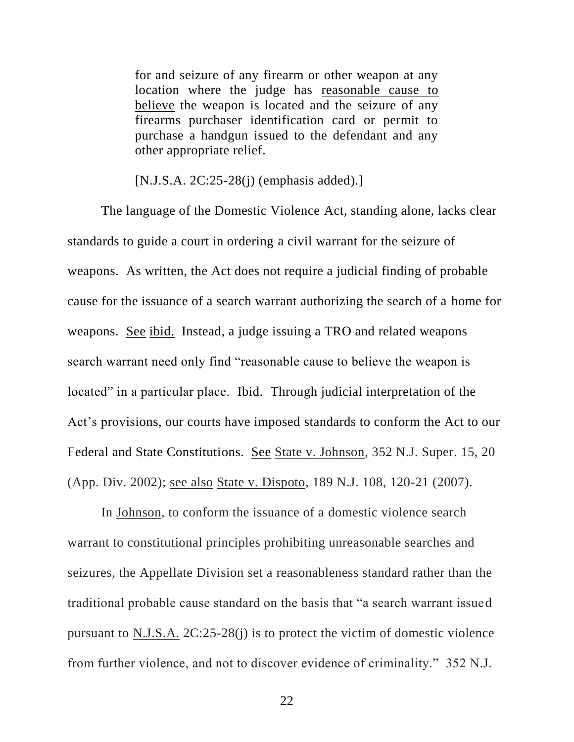for and seizure of any firearm or other weapon at any location where the judge has reasonable cause to believe the weapon is located and the seizure of any firearms purchaser identification card or permit to purchase a handgun issued to the defendant and any other appropriate relief.

[N.J.S.A. 2C:25-28(j) (emphasis added).]

The language of the Domestic Violence Act, standing alone, lacks clear standards to guide a court in ordering a civil warrant for the seizure of weapons. As written, the Act does not require a judicial finding of probable cause for the issuance of a search warrant authorizing the search of a home for weapons. See ibid. Instead, a judge issuing a TRO and related weapons search warrant need only find "reasonable cause to believe the weapon is located" in a particular place. Ibid. Through judicial interpretation of the Act's provisions, our courts have imposed standards to conform the Act to our Federal and State Constitutions. See State v. Johnson, 352 N.J. Super. 15, 20 (App. Div. 2002); see also State v. Dispoto, 189 N.J. 108, 120-21 (2007).

In Johnson, to conform the issuance of a domestic violence search warrant to constitutional principles prohibiting unreasonable searches and seizures, the Appellate Division set a reasonableness standard rather than the traditional probable cause standard on the basis that "a search warrant issued pursuant to N.J.S.A. 2C:25-28(j) is to protect the victim of domestic violence from further violence, and not to discover evidence of criminality." 352 N.J.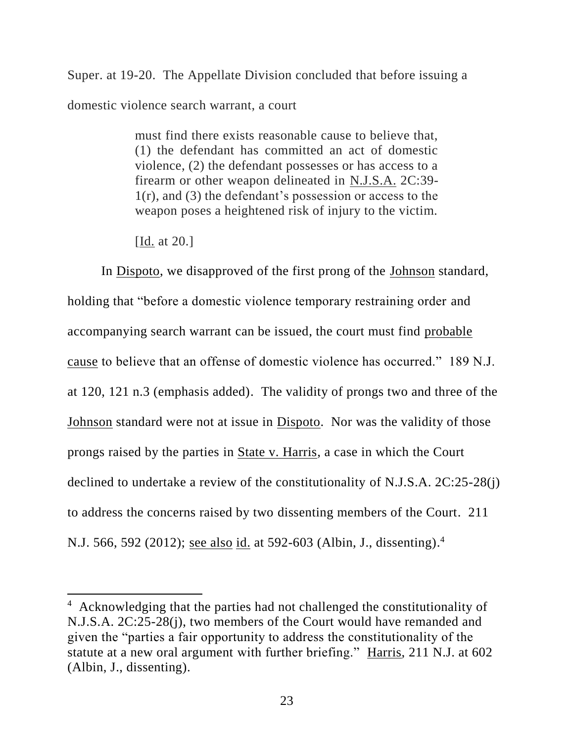Super. at 19-20. The Appellate Division concluded that before issuing a domestic violence search warrant, a court

> must find there exists reasonable cause to believe that, (1) the defendant has committed an act of domestic violence, (2) the defendant possesses or has access to a firearm or other weapon delineated in N.J.S.A. 2C:39-  $1(r)$ , and (3) the defendant's possession or access to the weapon poses a heightened risk of injury to the victim.

[Id. at 20.]

 $\overline{\phantom{a}}$ 

In Dispoto, we disapproved of the first prong of the Johnson standard, holding that "before a domestic violence temporary restraining order and accompanying search warrant can be issued, the court must find probable cause to believe that an offense of domestic violence has occurred." 189 N.J. at 120, 121 n.3 (emphasis added). The validity of prongs two and three of the Johnson standard were not at issue in Dispoto. Nor was the validity of those prongs raised by the parties in State v. Harris, a case in which the Court declined to undertake a review of the constitutionality of N.J.S.A. 2C:25-28(j) to address the concerns raised by two dissenting members of the Court. 211 N.J. 566, 592 (2012); <u>see also id.</u> at 592-603 (Albin, J., dissenting).<sup>4</sup>

<sup>4</sup> Acknowledging that the parties had not challenged the constitutionality of N.J.S.A. 2C:25-28(j), two members of the Court would have remanded and given the "parties a fair opportunity to address the constitutionality of the statute at a new oral argument with further briefing." Harris, 211 N.J. at 602 (Albin, J., dissenting).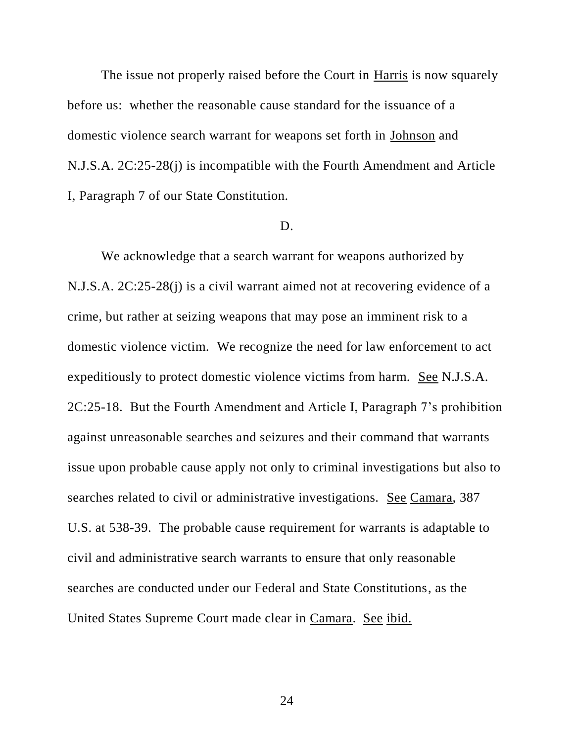The issue not properly raised before the Court in Harris is now squarely before us: whether the reasonable cause standard for the issuance of a domestic violence search warrant for weapons set forth in Johnson and N.J.S.A. 2C:25-28(j) is incompatible with the Fourth Amendment and Article I, Paragraph 7 of our State Constitution.

#### D.

We acknowledge that a search warrant for weapons authorized by N.J.S.A. 2C:25-28(j) is a civil warrant aimed not at recovering evidence of a crime, but rather at seizing weapons that may pose an imminent risk to a domestic violence victim. We recognize the need for law enforcement to act expeditiously to protect domestic violence victims from harm. See N.J.S.A. 2C:25-18. But the Fourth Amendment and Article I, Paragraph 7's prohibition against unreasonable searches and seizures and their command that warrants issue upon probable cause apply not only to criminal investigations but also to searches related to civil or administrative investigations. See Camara, 387 U.S. at 538-39. The probable cause requirement for warrants is adaptable to civil and administrative search warrants to ensure that only reasonable searches are conducted under our Federal and State Constitutions, as the United States Supreme Court made clear in Camara. See ibid.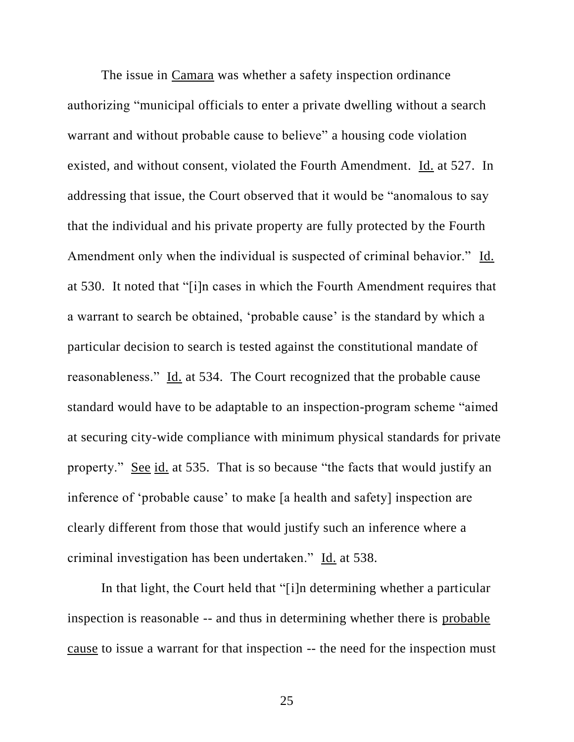The issue in Camara was whether a safety inspection ordinance authorizing "municipal officials to enter a private dwelling without a search warrant and without probable cause to believe" a housing code violation existed, and without consent, violated the Fourth Amendment. Id. at 527. In addressing that issue, the Court observed that it would be "anomalous to say that the individual and his private property are fully protected by the Fourth Amendment only when the individual is suspected of criminal behavior." Id. at 530. It noted that "[i]n cases in which the Fourth Amendment requires that a warrant to search be obtained, 'probable cause' is the standard by which a particular decision to search is tested against the constitutional mandate of reasonableness." Id. at 534. The Court recognized that the probable cause standard would have to be adaptable to an inspection-program scheme "aimed at securing city-wide compliance with minimum physical standards for private property." See id. at 535. That is so because "the facts that would justify an inference of 'probable cause' to make [a health and safety] inspection are clearly different from those that would justify such an inference where a criminal investigation has been undertaken." Id. at 538.

In that light, the Court held that "[i]n determining whether a particular inspection is reasonable -- and thus in determining whether there is probable cause to issue a warrant for that inspection -- the need for the inspection must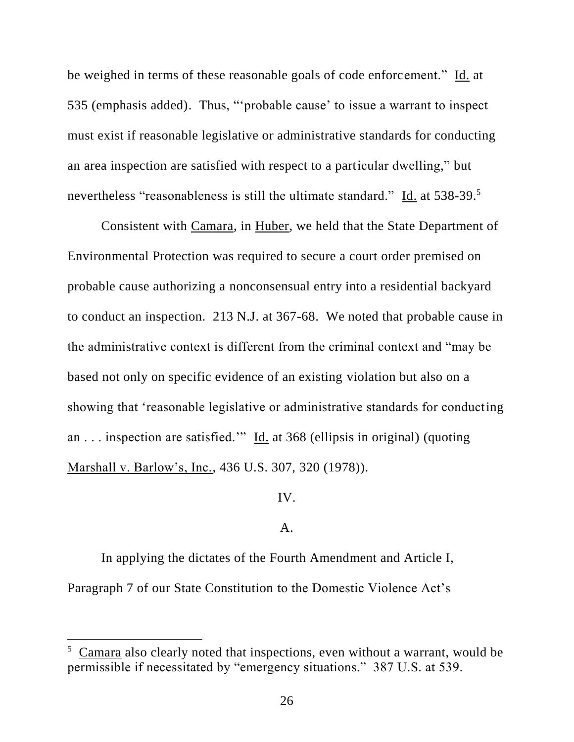be weighed in terms of these reasonable goals of code enforcement." Id. at 535 (emphasis added). Thus, "'probable cause' to issue a warrant to inspect must exist if reasonable legislative or administrative standards for conducting an area inspection are satisfied with respect to a particular dwelling," but nevertheless "reasonableness is still the ultimate standard." Id. at 538-39.<sup>5</sup>

Consistent with Camara, in Huber, we held that the State Department of Environmental Protection was required to secure a court order premised on probable cause authorizing a nonconsensual entry into a residential backyard to conduct an inspection. 213 N.J. at 367-68. We noted that probable cause in the administrative context is different from the criminal context and "may be based not only on specific evidence of an existing violation but also on a showing that 'reasonable legislative or administrative standards for conducting an . . . inspection are satisfied.'" Id. at 368 (ellipsis in original) (quoting Marshall v. Barlow's, Inc., 436 U.S. 307, 320 (1978)).

IV.

# A.

In applying the dictates of the Fourth Amendment and Article I, Paragraph 7 of our State Constitution to the Domestic Violence Act's

 $\overline{\phantom{a}}$ 

<sup>5</sup> Camara also clearly noted that inspections, even without a warrant, would be permissible if necessitated by "emergency situations." 387 U.S. at 539.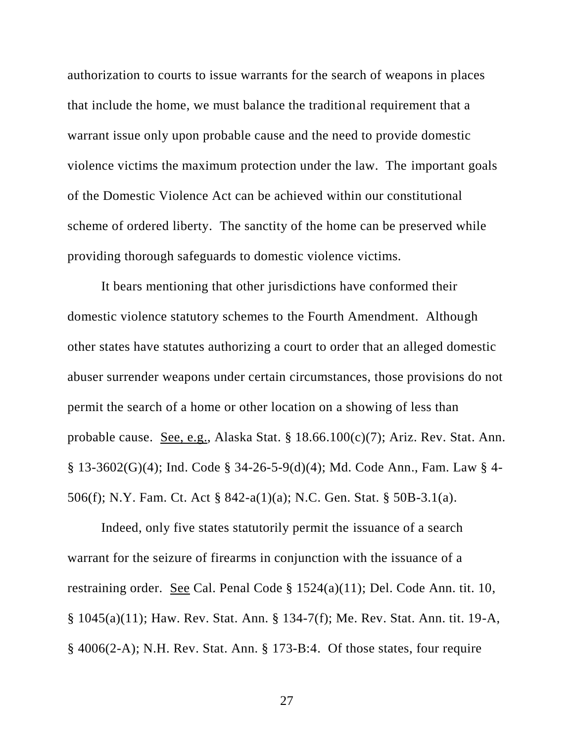authorization to courts to issue warrants for the search of weapons in places that include the home, we must balance the traditional requirement that a warrant issue only upon probable cause and the need to provide domestic violence victims the maximum protection under the law. The important goals of the Domestic Violence Act can be achieved within our constitutional scheme of ordered liberty. The sanctity of the home can be preserved while providing thorough safeguards to domestic violence victims.

It bears mentioning that other jurisdictions have conformed their domestic violence statutory schemes to the Fourth Amendment. Although other states have statutes authorizing a court to order that an alleged domestic abuser surrender weapons under certain circumstances, those provisions do not permit the search of a home or other location on a showing of less than probable cause. See, e.g., Alaska Stat. § 18.66.100(c)(7); Ariz. Rev. Stat. Ann. § 13-3602(G)(4); Ind. Code § 34-26-5-9(d)(4); Md. Code Ann., Fam. Law § 4- 506(f); N.Y. Fam. Ct. Act § 842-a(1)(a); N.C. Gen. Stat. § 50B-3.1(a).

Indeed, only five states statutorily permit the issuance of a search warrant for the seizure of firearms in conjunction with the issuance of a restraining order. See Cal. Penal Code § 1524(a)(11); Del. Code Ann. tit. 10, § 1045(a)(11); Haw. Rev. Stat. Ann. § 134-7(f); Me. Rev. Stat. Ann. tit. 19-A, § 4006(2-A); N.H. Rev. Stat. Ann. § 173-B:4. Of those states, four require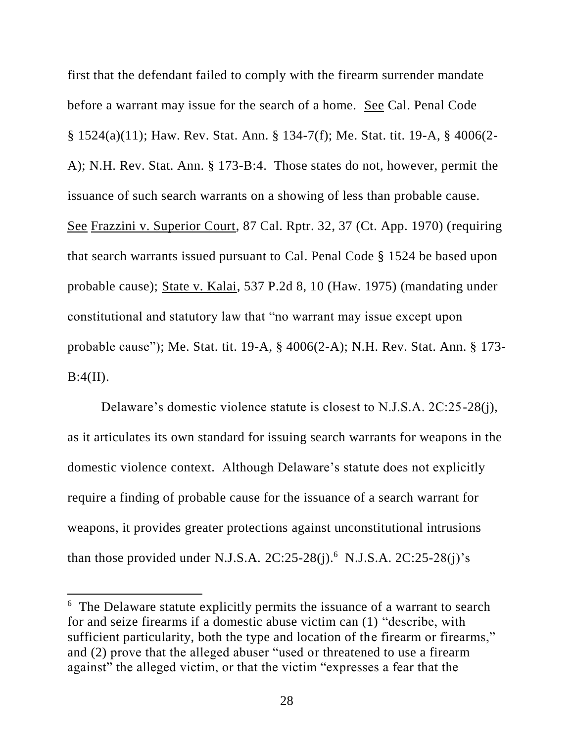first that the defendant failed to comply with the firearm surrender mandate before a warrant may issue for the search of a home. See Cal. Penal Code § 1524(a)(11); Haw. Rev. Stat. Ann. § 134-7(f); Me. Stat. tit. 19-A, § 4006(2- A); N.H. Rev. Stat. Ann. § 173-B:4. Those states do not, however, permit the issuance of such search warrants on a showing of less than probable cause. See Frazzini v. Superior Court, 87 Cal. Rptr. 32, 37 (Ct. App. 1970) (requiring that search warrants issued pursuant to Cal. Penal Code § 1524 be based upon probable cause); State v. Kalai, 537 P.2d 8, 10 (Haw. 1975) (mandating under constitutional and statutory law that "no warrant may issue except upon probable cause"); Me. Stat. tit. 19-A, § 4006(2-A); N.H. Rev. Stat. Ann. § 173-  $B:4(II)$ .

Delaware's domestic violence statute is closest to N.J.S.A. 2C:25-28(j), as it articulates its own standard for issuing search warrants for weapons in the domestic violence context. Although Delaware's statute does not explicitly require a finding of probable cause for the issuance of a search warrant for weapons, it provides greater protections against unconstitutional intrusions than those provided under N.J.S.A.  $2C:25-28(i)$ .<sup>6</sup> N.J.S.A.  $2C:25-28(i)$ 's

 $\overline{\phantom{a}}$ 

<sup>&</sup>lt;sup>6</sup> The Delaware statute explicitly permits the issuance of a warrant to search for and seize firearms if a domestic abuse victim can (1) "describe, with sufficient particularity, both the type and location of the firearm or firearms," and (2) prove that the alleged abuser "used or threatened to use a firearm against" the alleged victim, or that the victim "expresses a fear that the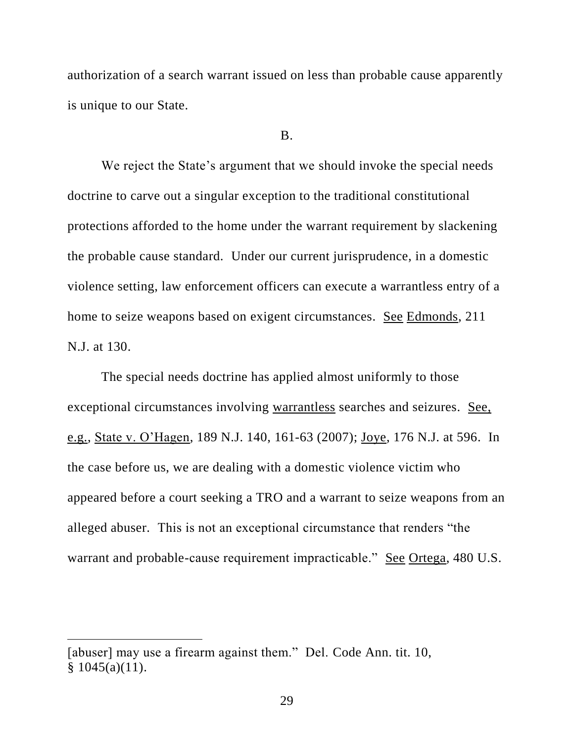authorization of a search warrant issued on less than probable cause apparently is unique to our State.

#### B.

We reject the State's argument that we should invoke the special needs doctrine to carve out a singular exception to the traditional constitutional protections afforded to the home under the warrant requirement by slackening the probable cause standard. Under our current jurisprudence, in a domestic violence setting, law enforcement officers can execute a warrantless entry of a home to seize weapons based on exigent circumstances. See Edmonds, 211 N.J. at 130.

The special needs doctrine has applied almost uniformly to those exceptional circumstances involving warrantless searches and seizures. See, e.g., State v. O'Hagen, 189 N.J. 140, 161-63 (2007); Joye, 176 N.J. at 596. In the case before us, we are dealing with a domestic violence victim who appeared before a court seeking a TRO and a warrant to seize weapons from an alleged abuser. This is not an exceptional circumstance that renders "the warrant and probable-cause requirement impracticable." See Ortega, 480 U.S.

 $\overline{\phantom{a}}$ 

<sup>[</sup>abuser] may use a firearm against them." Del. Code Ann. tit. 10,  $§ 1045(a)(11).$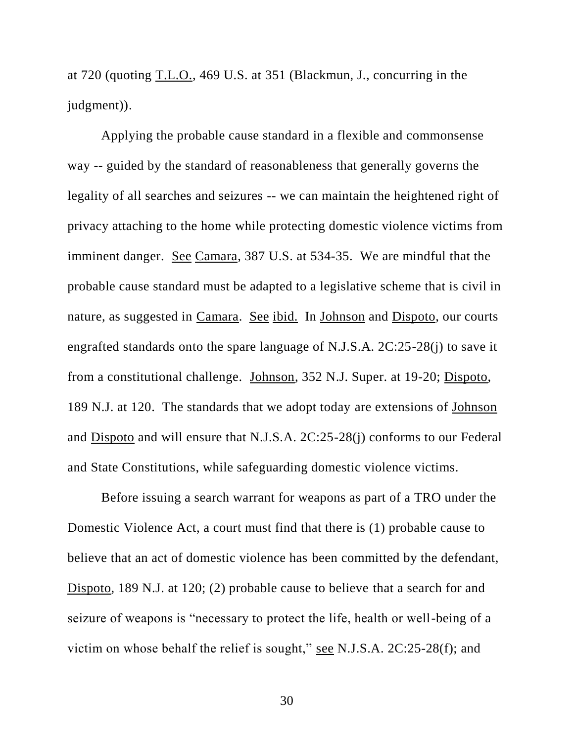at 720 (quoting T.L.O., 469 U.S. at 351 (Blackmun, J., concurring in the judgment)).

Applying the probable cause standard in a flexible and commonsense way -- guided by the standard of reasonableness that generally governs the legality of all searches and seizures -- we can maintain the heightened right of privacy attaching to the home while protecting domestic violence victims from imminent danger. See Camara, 387 U.S. at 534-35. We are mindful that the probable cause standard must be adapted to a legislative scheme that is civil in nature, as suggested in Camara. See ibid. In Johnson and Dispoto, our courts engrafted standards onto the spare language of N.J.S.A. 2C:25-28(j) to save it from a constitutional challenge. Johnson, 352 N.J. Super. at 19-20; Dispoto, 189 N.J. at 120. The standards that we adopt today are extensions of Johnson and Dispoto and will ensure that N.J.S.A. 2C:25-28(j) conforms to our Federal and State Constitutions, while safeguarding domestic violence victims.

Before issuing a search warrant for weapons as part of a TRO under the Domestic Violence Act, a court must find that there is (1) probable cause to believe that an act of domestic violence has been committed by the defendant, Dispoto, 189 N.J. at 120; (2) probable cause to believe that a search for and seizure of weapons is "necessary to protect the life, health or well-being of a victim on whose behalf the relief is sought," see N.J.S.A. 2C:25-28(f); and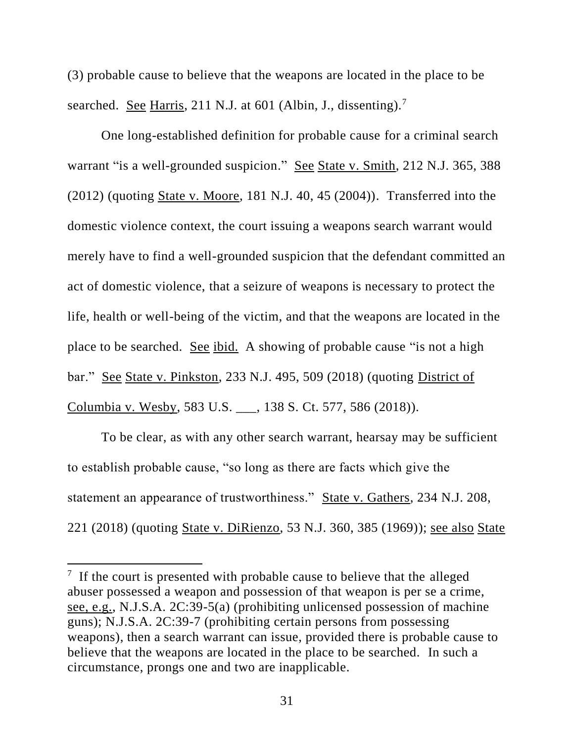(3) probable cause to believe that the weapons are located in the place to be searched. <u>See Harris</u>, 211 N.J. at 601 (Albin, J., dissenting).<sup>7</sup>

One long-established definition for probable cause for a criminal search warrant "is a well-grounded suspicion." See State v. Smith, 212 N.J. 365, 388 (2012) (quoting State v. Moore, 181 N.J. 40, 45 (2004)). Transferred into the domestic violence context, the court issuing a weapons search warrant would merely have to find a well-grounded suspicion that the defendant committed an act of domestic violence, that a seizure of weapons is necessary to protect the life, health or well-being of the victim, and that the weapons are located in the place to be searched. See ibid. A showing of probable cause "is not a high bar." See State v. Pinkston, 233 N.J. 495, 509 (2018) (quoting District of Columbia v. Wesby, 583 U.S. \_\_\_, 138 S. Ct. 577, 586 (2018)).

To be clear, as with any other search warrant, hearsay may be sufficient to establish probable cause, "so long as there are facts which give the statement an appearance of trustworthiness." State v. Gathers, 234 N.J. 208, 221 (2018) (quoting State v. DiRienzo, 53 N.J. 360, 385 (1969)); see also State

 $\overline{a}$ 

 $7$  If the court is presented with probable cause to believe that the alleged abuser possessed a weapon and possession of that weapon is per se a crime, see, e.g., N.J.S.A. 2C:39-5(a) (prohibiting unlicensed possession of machine guns); N.J.S.A. 2C:39-7 (prohibiting certain persons from possessing weapons), then a search warrant can issue, provided there is probable cause to believe that the weapons are located in the place to be searched. In such a circumstance, prongs one and two are inapplicable.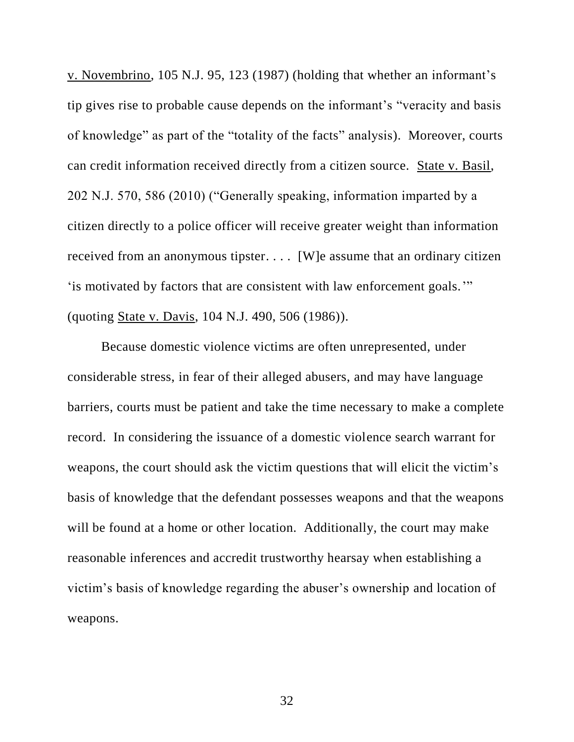v. Novembrino, 105 N.J. 95, 123 (1987) (holding that whether an informant's tip gives rise to probable cause depends on the informant's "veracity and basis of knowledge" as part of the "totality of the facts" analysis). Moreover, courts can credit information received directly from a citizen source. State v. Basil, 202 N.J. 570, 586 (2010) ("Generally speaking, information imparted by a citizen directly to a police officer will receive greater weight than information received from an anonymous tipster. . . . [W]e assume that an ordinary citizen 'is motivated by factors that are consistent with law enforcement goals.'" (quoting State v. Davis, 104 N.J. 490, 506 (1986)).

Because domestic violence victims are often unrepresented, under considerable stress, in fear of their alleged abusers, and may have language barriers, courts must be patient and take the time necessary to make a complete record. In considering the issuance of a domestic violence search warrant for weapons, the court should ask the victim questions that will elicit the victim's basis of knowledge that the defendant possesses weapons and that the weapons will be found at a home or other location. Additionally, the court may make reasonable inferences and accredit trustworthy hearsay when establishing a victim's basis of knowledge regarding the abuser's ownership and location of weapons.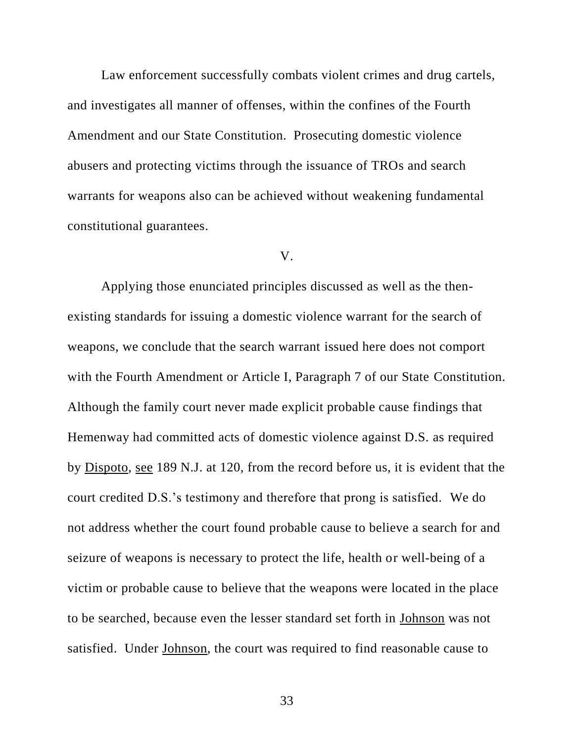Law enforcement successfully combats violent crimes and drug cartels, and investigates all manner of offenses, within the confines of the Fourth Amendment and our State Constitution. Prosecuting domestic violence abusers and protecting victims through the issuance of TROs and search warrants for weapons also can be achieved without weakening fundamental constitutional guarantees.

#### V.

Applying those enunciated principles discussed as well as the thenexisting standards for issuing a domestic violence warrant for the search of weapons, we conclude that the search warrant issued here does not comport with the Fourth Amendment or Article I, Paragraph 7 of our State Constitution. Although the family court never made explicit probable cause findings that Hemenway had committed acts of domestic violence against D.S. as required by Dispoto, see 189 N.J. at 120, from the record before us, it is evident that the court credited D.S.'s testimony and therefore that prong is satisfied. We do not address whether the court found probable cause to believe a search for and seizure of weapons is necessary to protect the life, health or well-being of a victim or probable cause to believe that the weapons were located in the place to be searched, because even the lesser standard set forth in Johnson was not satisfied. Under Johnson, the court was required to find reasonable cause to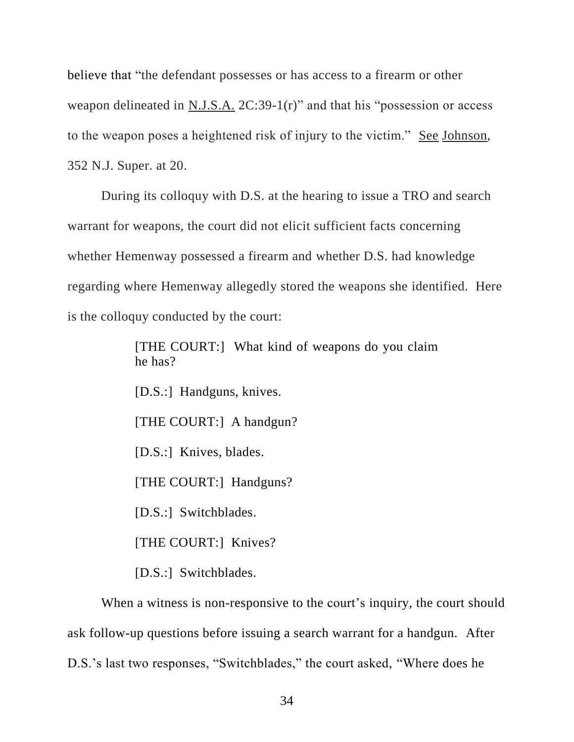believe that "the defendant possesses or has access to a firearm or other weapon delineated in N.J.S.A. 2C:39-1(r)" and that his "possession or access to the weapon poses a heightened risk of injury to the victim." See Johnson, 352 N.J. Super. at 20.

During its colloquy with D.S. at the hearing to issue a TRO and search warrant for weapons, the court did not elicit sufficient facts concerning whether Hemenway possessed a firearm and whether D.S. had knowledge regarding where Hemenway allegedly stored the weapons she identified. Here is the colloquy conducted by the court:

> [THE COURT:] What kind of weapons do you claim he has?

[D.S.:] Handguns, knives.

[THE COURT:] A handgun?

[D.S.:] Knives, blades.

[THE COURT:] Handguns?

[D.S.:] Switchblades.

[THE COURT:] Knives?

[D.S.:] Switchblades.

When a witness is non-responsive to the court's inquiry, the court should ask follow-up questions before issuing a search warrant for a handgun. After D.S.'s last two responses, "Switchblades," the court asked, "Where does he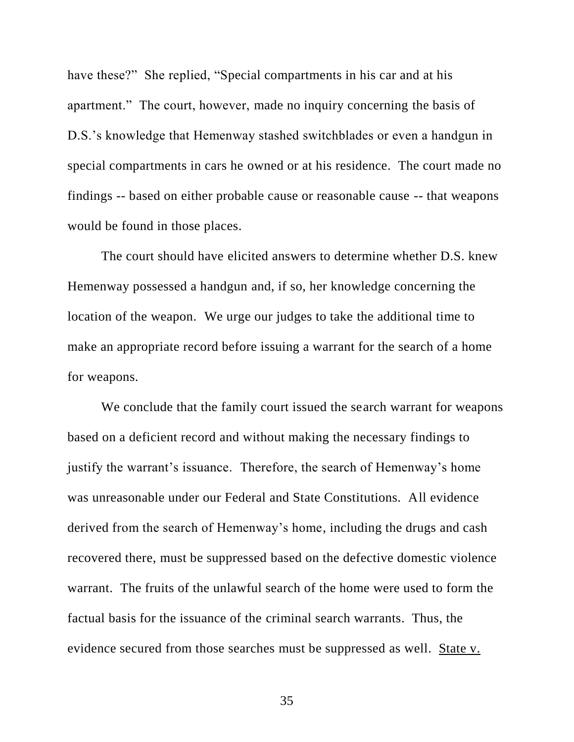have these?" She replied, "Special compartments in his car and at his apartment." The court, however, made no inquiry concerning the basis of D.S.'s knowledge that Hemenway stashed switchblades or even a handgun in special compartments in cars he owned or at his residence. The court made no findings -- based on either probable cause or reasonable cause -- that weapons would be found in those places.

The court should have elicited answers to determine whether D.S. knew Hemenway possessed a handgun and, if so, her knowledge concerning the location of the weapon. We urge our judges to take the additional time to make an appropriate record before issuing a warrant for the search of a home for weapons.

We conclude that the family court issued the search warrant for weapons based on a deficient record and without making the necessary findings to justify the warrant's issuance. Therefore, the search of Hemenway's home was unreasonable under our Federal and State Constitutions. All evidence derived from the search of Hemenway's home, including the drugs and cash recovered there, must be suppressed based on the defective domestic violence warrant. The fruits of the unlawful search of the home were used to form the factual basis for the issuance of the criminal search warrants. Thus, the evidence secured from those searches must be suppressed as well. State v.